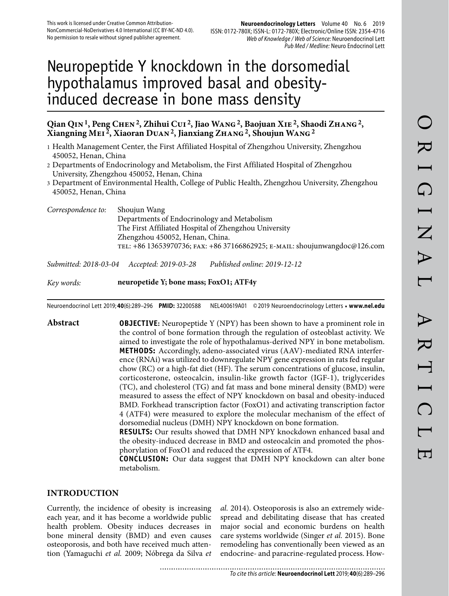# Neuropeptide Y knockdown in the dorsomedial hypothalamus improved basal and obesityinduced decrease in bone mass density

#### **Qian Qin 1, Peng Chen 2, Zhihui Cui 2, Jiao Wang 2, Baojuan Xie 2, Shaodi Zhang 2, Xiangning Mei 2, Xiaoran Duan 2, Jianxiang Zhang 2, Shoujun Wang 2**

- 1 Health Management Center, the First Affiliated Hospital of Zhengzhou University, Zhengzhou 450052, Henan, China
- 2 Departments of Endocrinology and Metabolism, the First Affiliated Hospital of Zhengzhou University, Zhengzhou 450052, Henan, China
- 3 Department of Environmental Health, College of Public Health, Zhengzhou University, Zhengzhou 450052, Henan, China
- *Correspondence to:* Shoujun Wang Departments of Endocrinology and Metabolism The First Affiliated Hospital of Zhengzhou University Zhengzhou 450052, Henan, China. tel: +86 13653970736; fax: +86 37166862925; e-mail: shoujunwangdoc@126.com

*Submitted: 2018-03-04 Accepted: 2019-03-28 Published online: 2019-12-12*

*Key words:* **neuropetide Y; bone mass; FoxO1; ATF4y**

Neuroendocrinol Lett 2019; **40**(6):289–296 **PMID:** 32200588 NEL400619A01 © 2019 Neuroendocrinology Letters • **www.nel.edu**

**Abstract OBJECTIVE:** Neuropeptide Y (NPY) has been shown to have a prominent role in the control of bone formation through the regulation of osteoblast activity. We aimed to investigate the role of hypothalamus-derived NPY in bone metabolism. **METHODS:** Accordingly, adeno-associated virus (AAV)-mediated RNA interference (RNAi) was utilized to downregulate NPY gene expression in rats fed regular chow (RC) or a high-fat diet (HF). The serum concentrations of glucose, insulin, corticosterone, osteocalcin, insulin-like growth factor (IGF-1), triglycerides (TC), and cholesterol (TG) and fat mass and bone mineral density (BMD) were measured to assess the effect of NPY knockdown on basal and obesity-induced BMD. Forkhead transcription factor (FoxO1) and activating transcription factor 4 (ATF4) were measured to explore the molecular mechanism of the effect of dorsomedial nucleus (DMH) NPY knockdown on bone formation.

> **RESULTS:** Our results showed that DMH NPY knockdown enhanced basal and the obesity-induced decrease in BMD and osteocalcin and promoted the phosphorylation of FoxO1 and reduced the expression of ATF4.

> **CONCLUSION:** Our data suggest that DMH NPY knockdown can alter bone metabolism.

#### **INTRODUCTION**

Currently, the incidence of obesity is increasing each year, and it has become a worldwide public health problem. Obesity induces decreases in bone mineral density (BMD) and even causes osteoporosis, and both have received much attention (Yamaguchi *et al.* 2009; Nóbrega da Silva *et*  *al.* 2014). Osteoporosis is also an extremely widespread and debilitating disease that has created major social and economic burdens on health care systems worldwide (Singer *et al.* 2015). Bone remodeling has conventionally been viewed as an endocrine- and paracrine-regulated process. How-

........................... To cite this article: **Neuroendocrinol Lett** 2019; **40**(6):289–296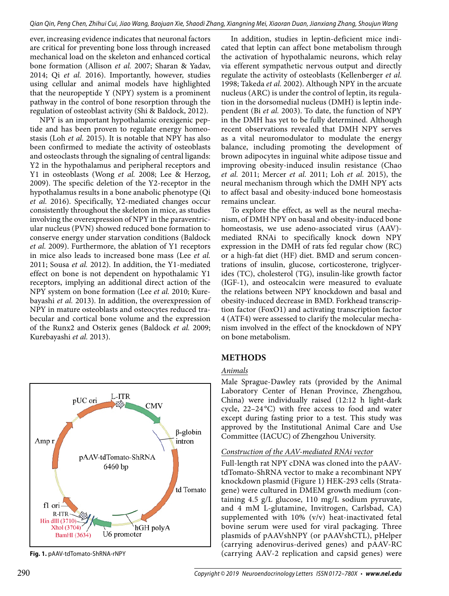ever, increasing evidence indicates that neuronal factors are critical for preventing bone loss through increased mechanical load on the skeleton and enhanced cortical bone formation (Allison *et al.* 2007; Sharan & Yadav, 2014; Qi *et al.* 2016). Importantly, however, studies using cellular and animal models have highlighted that the neuropeptide Y (NPY) system is a prominent pathway in the control of bone resorption through the regulation of osteoblast activity (Shi & Baldock, 2012).

NPY is an important hypothalamic orexigenic peptide and has been proven to regulate energy homeostasis (Loh *et al.* 2015). It is notable that NPY has also been confirmed to mediate the activity of osteoblasts and osteoclasts through the signaling of central ligands: Y2 in the hypothalamus and peripheral receptors and Y1 in osteoblasts (Wong *et al.* 2008; Lee & Herzog, 2009). The specific deletion of the Y2-receptor in the hypothalamus results in a bone anabolic phenotype (Qi *et al.* 2016). Specifically, Y2-mediated changes occur consistently throughout the skeleton in mice, as studies involving the overexpression of NPY in the paraventricular nucleus (PVN) showed reduced bone formation to conserve energy under starvation conditions (Baldock *et al.* 2009). Furthermore, the ablation of Y1 receptors in mice also leads to increased bone mass (Lee *et al.*  2011; Sousa *et al.* 2012). In addition, the Y1-mediated effect on bone is not dependent on hypothalamic Y1 receptors, implying an additional direct action of the NPY system on bone formation (Lee *et al.* 2010; Kurebayashi *et al.* 2013). In addition, the overexpression of NPY in mature osteoblasts and osteocytes reduced trabecular and cortical bone volume and the expression of the Runx2 and Osterix genes (Baldock *et al.* 2009; Kurebayashi *et al.* 2013).



In addition, studies in leptin-deficient mice indicated that leptin can affect bone metabolism through the activation of hypothalamic neurons, which relay via efferent sympathetic nervous output and directly regulate the activity of osteoblasts (Kellenberger *et al.*  1998; Takeda *et al.* 2002). Although NPY in the arcuate nucleus (ARC) is under the control of leptin, its regulation in the dorsomedial nucleus (DMH) is leptin independent (Bi *et al.* 2003). To date, the function of NPY in the DMH has yet to be fully determined. Although recent observations revealed that DMH NPY serves as a vital neuromodulator to modulate the energy balance, including promoting the development of brown adipocytes in inguinal white adipose tissue and improving obesity-induced insulin resistance (Chao *et al.* 2011; Mercer *et al.* 2011; Loh *et al.* 2015), the neural mechanism through which the DMH NPY acts to affect basal and obesity-induced bone homeostasis remains unclear.

To explore the effect, as well as the neural mechanism, of DMH NPY on basal and obesity-induced bone homeostasis, we use adeno-associated virus (AAV) mediated RNAi to specifically knock down NPY expression in the DMH of rats fed regular chow (RC) or a high-fat diet (HF) diet. BMD and serum concentrations of insulin, glucose, corticosterone, triglycerides (TC), cholesterol (TG), insulin-like growth factor (IGF-1), and osteocalcin were measured to evaluate the relations between NPY knockdown and basal and obesity-induced decrease in BMD. Forkhead transcription factor (FoxO1) and activating transcription factor 4 (ATF4) were assessed to clarify the molecular mechanism involved in the effect of the knockdown of NPY on bone metabolism.

## **METHODS**

## *Animals*

Male Sprague-Dawley rats (provided by the Animal Laboratory Center of Henan Province, Zhengzhou, China) were individually raised (12:12 h light-dark cycle,  $22-24$ °C) with free access to food and water except during fasting prior to a test. This study was approved by the Institutional Animal Care and Use Committee (IACUC) of Zhengzhou University.

### *Construction of the AAV-mediated RNAi vector*

Full-length rat NPY cDNA was cloned into the pAAVtdTomato-ShRNA vector to make a recombinant NPY knockdown plasmid (Figure 1) HEK-293 cells (Stratagene) were cultured in DMEM growth medium (containing 4.5 g/L glucose, 110 mg/L sodium pyruvate, and 4 mM L-glutamine, Invitrogen, Carlsbad, CA) supplemented with 10% (v/v) heat-inactivated fetal bovine serum were used for viral packaging. Three plasmids of pAAVshNPY (or pAAVshCTL), pHelper (carrying adenovirus-derived genes) and pAAV-RC **Fig. 1.** pAAV-tdTomato-ShRNA-rNPY (carrying AAV-2 replication and capsid genes) were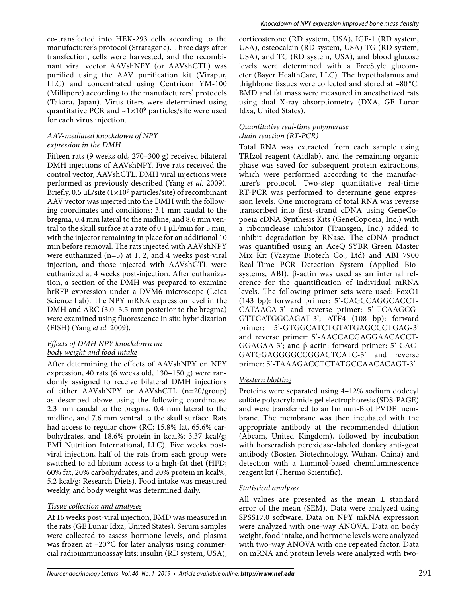co-transfected into HEK-293 cells according to the manufacturer's protocol (Stratagene). Three days after transfection, cells were harvested, and the recombinant viral vector AAVshNPY (or AAVshCTL) was purified using the AAV purification kit (Virapur, LLC) and concentrated using Centricon YM-100 (Millipore) according to the manufacturers' protocols (Takara, Japan). Virus titers were determined using quantitative PCR and  $\sim$ 1×10<sup>9</sup> particles/site were used for each virus injection.

#### *AAV-mediated knockdown of NPY expression in the DMH*

Fifteen rats (9 weeks old, 270–300 g) received bilateral DMH injections of AAVshNPY. Five rats received the control vector, AAVshCTL. DMH viral injections were performed as previously described (Yang *et al.* 2009). Briefly,  $0.5 \mu L/s$ ite  $(1 \times 10^9 \text{ particles/s}$ ite) of recombinant AAV vector was injected into the DMH with the following coordinates and conditions: 3.1 mm caudal to the bregma, 0.4 mm lateral to the midline, and 8.6 mm ventral to the skull surface at a rate of 0.1 μL/min for 5 min, with the injector remaining in place for an additional 10 min before removal. The rats injected with AAVshNPY were euthanized  $(n=5)$  at 1, 2, and 4 weeks post-viral injection, and those injected with AAVshCTL were euthanized at 4 weeks post-injection. After euthanization, a section of the DMH was prepared to examine hrRFP expression under a DVM6 microscope (Leica Science Lab). The NPY mRNA expression level in the DMH and ARC (3.0–3.5 mm posterior to the bregma) were examined using fluorescence in situ hybridization (FISH) (Yang *et al.* 2009).

#### *Effects of DMH NPY knockdown on body weight and food intake*

After determining the effects of AAVshNPY on NPY expression, 40 rats (6 weeks old, 130–150 g) were randomly assigned to receive bilateral DMH injections of either AAVshNPY or AAVshCTL (n=20/group) as described above using the following coordinates: 2.3 mm caudal to the bregma, 0.4 mm lateral to the midline, and 7.6 mm ventral to the skull surface. Rats had access to regular chow (RC; 15.8% fat, 65.6% carbohydrates, and 18.6% protein in kcal%; 3.37 kcal/g; PMI Nutrition International, LLC). Five weeks postviral injection, half of the rats from each group were switched to ad libitum access to a high-fat diet (HFD; 60% fat, 20% carbohydrates, and 20% protein in kcal%; 5.2 kcal/g; Research Diets). Food intake was measured weekly, and body weight was determined daily.

#### *Tissue collection and analyses*

At 16 weeks post-viral injection, BMD was measured in the rats (GE Lunar Idxa, United States). Serum samples were collected to assess hormone levels, and plasma was frozen at -20 °C for later analysis using commercial radioimmunoassay kits: insulin (RD system, USA),

corticosterone (RD system, USA), IGF-1 (RD system, USA), osteocalcin (RD system, USA) TG (RD system, USA), and TC (RD system, USA), and blood glucose levels were determined with a FreeStyle glucometer (Bayer HealthCare, LLC). The hypothalamus and thighbone tissues were collected and stored at –80 °C. BMD and fat mass were measured in anesthetized rats using dual X-ray absorptiometry (DXA, GE Lunar Idxa, United States).

#### *Quantitative real-time polymerase chain reaction (RT-PCR)*

Total RNA was extracted from each sample using TRIzol reagent (Aidlab), and the remaining organic phase was saved for subsequent protein extractions, which were performed according to the manufacturer's protocol. Two-step quantitative real-time RT-PCR was performed to determine gene expression levels. One microgram of total RNA was reverse transcribed into first-strand cDNA using GeneCopoeia cDNA Synthesis Kits (GeneCopoeia, Inc.) with a ribonuclease inhibitor (Transgen, Inc.) added to inhibit degradation by RNase. The cDNA product was quantified using an AceQ SYBR Green Master Mix Kit (Vazyme Biotech Co., Ltd) and ABI 7900 Real-Time PCR Detection System (Applied Biosystems, ABI). β-actin was used as an internal reference for the quantification of individual mRNA levels. The following primer sets were used: FoxO1 (143 bp): forward primer: 5'-CAGCCAGGCACCT-CATAACA-3' and reverse primer: 5'-TCAAGCG-GTTCATGGCAGAT-3'; ATF4 (108 bp): forward primer: 5'-GTGGCATCTGTATGAGCCCTGAG-3' and reverse primer: 5'-AACCACGAGGAACACCT-GGAGAA-3'; and β-actin: forward primer: 5'-CAC-GATGGAGGGGCCGGACTCATC-3' and reverse primer: 5'-TAAAGACCTCTATGCCAACACAGT-3'.

#### *Western blotting*

Proteins were separated using 4–12% sodium dodecyl sulfate polyacrylamide gel electrophoresis (SDS-PAGE) and were transferred to an Immun-Blot PVDF membrane. The membrane was then incubated with the appropriate antibody at the recommended dilution (Abcam, United Kingdom), followed by incubation with horseradish peroxidase-labeled donkey anti-goat antibody (Boster, Biotechnology, Wuhan, China) and detection with a Luminol-based chemiluminescence reagent kit (Thermo Scientific).

#### *Statistical analyses*

All values are presented as the mean ± standard error of the mean (SEM). Data were analyzed using SPSS17.0 software. Data on NPY mRNA expression were analyzed with one-way ANOVA. Data on body weight, food intake, and hormone levels were analyzed with two-way ANOVA with one repeated factor. Data on mRNA and protein levels were analyzed with two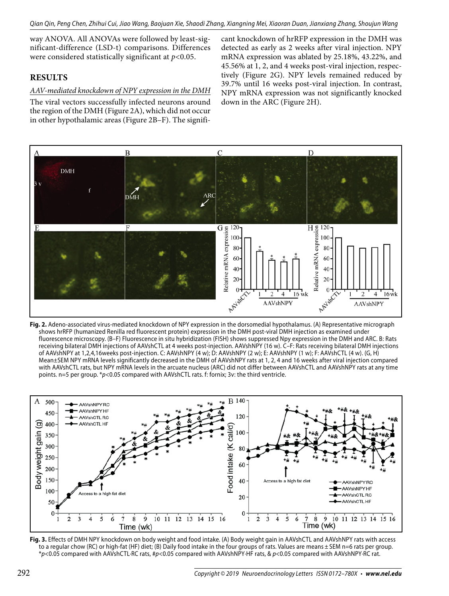way ANOVA. All ANOVAs were followed by least-significant-difference (LSD-t) comparisons. Differences were considered statistically significant at *p*<0.05.

### **RESULTS**

#### *AAV-mediated knockdown of NPY expression in the DMH*

The viral vectors successfully infected neurons around the region of the DMH (Figure 2A), which did not occur in other hypothalamic areas (Figure 2B–F). The signifi-

cant knockdown of hrRFP expression in the DMH was detected as early as 2 weeks after viral injection. NPY mRNA expression was ablated by 25.18%, 43.22%, and 45.56% at 1, 2, and 4 weeks post-viral injection, respectively (Figure 2G). NPY levels remained reduced by 39.7% until 16 weeks post-viral injection. In contrast, NPY mRNA expression was not significantly knocked down in the ARC (Figure 2H).



**Fig. 2.** Adeno-associated virus-mediated knockdown of NPY expression in the dorsomedial hypothalamus. (A) Representative micrograph shows hrRFP (humanized Renilla red fluorescent protein) expression in the DMH post-viral DMH injection as examined under fluorescence microscopy. (B–F) Fluorescence in situ hybridization (FISH) shows suppressed Npy expression in the DMH and ARC. B: Rats receiving bilateral DMH injections of AAVshCTL at 4 weeks post-injection. AAVshNPY (16 w). C–F: Rats receiving bilateral DMH injections of AAVshNPY at 1,2,4,16weeks post-injection. C: AAVshNPY (4 w); D: AAVshNPY (2 w); E: AAVshNPY (1 w); F: AAVshCTL (4 w). (G, H) Mean±SEM NPY mRNA levels significantly decreased in the DMH of AAVshNPY rats at 1, 2, 4 and 16 weeks after viral injection compared with AAVshCTL rats, but NPY mRNA levels in the arcuate nucleus (ARC) did not differ between AAVshCTL and AAVshNPY rats at any time points. n=5 per group. \*p<0.05 compared with AAVshCTL rats. f: fornix; 3v: the third ventricle.



**Fig. 3.** Effects of DMH NPY knockdown on body weight and food intake. (A) Body weight gain in AAVshCTL and AAVshNPY rats with access to a regular chow (RC) or high-fat (HF) diet; (B) Daily food intake in the four groups of rats. Values are means ± SEM n=6 rats per group. \*p<0.05 compared with AAVshCTL·RC rats, #p<0.05 compared with AAVshNPY·HF rats, & p<0.05 compared with AAVshNPY·RC rat.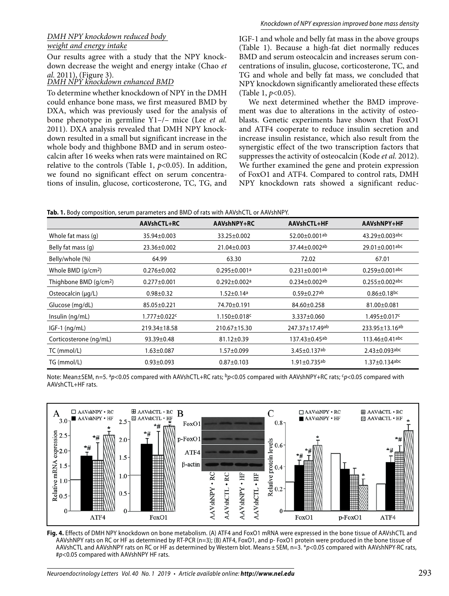#### *DMH NPY knockdown reduced body weight and energy intake*

Our results agree with a study that the NPY knockdown decrease the weight and energy intake (Chao *et* 

# *al.* 2011), (Figure 3). *DMH NPY knockdown enhanced BMD*

To determine whether knockdown of NPY in the DMH could enhance bone mass, we first measured BMD by DXA, which was previously used for the analysis of bone phenotype in germline Y1–/– mice (Lee *et al.*  2011). DXA analysis revealed that DMH NPY knockdown resulted in a small but significant increase in the whole body and thighbone BMD and in serum osteocalcin after 16 weeks when rats were maintained on RC relative to the controls (Table 1,  $p<0.05$ ). In addition, we found no significant effect on serum concentrations of insulin, glucose, corticosterone, TC, TG, and

IGF-1 and whole and belly fat mass in the above groups (Table 1). Because a high-fat diet normally reduces BMD and serum osteocalcin and increases serum concentrations of insulin, glucose, corticosterone, TC, and TG and whole and belly fat mass, we concluded that NPY knockdown significantly ameliorated these effects (Table 1, *p*<0.05).

We next determined whether the BMD improvement was due to alterations in the activity of osteoblasts. Genetic experiments have shown that FoxO1 and ATF4 cooperate to reduce insulin secretion and increase insulin resistance, which also result from the synergistic effect of the two transcription factors that suppresses the activity of osteocalcin (Kode *et al.* 2012). We further examined the gene and protein expression of FoxO1 and ATF4. Compared to control rats, DMH NPY knockdown rats showed a significant reduc-

| Tab. 1. Body composition, serum parameters and BMD of rats with AAVshCTL or AAVshNPY. |  |
|---------------------------------------------------------------------------------------|--|
|---------------------------------------------------------------------------------------|--|

|                                    | AAVshCTL+RC              | AAVshNPY+RC                    | AAVshCTL+HF                     | AAVshNPY+HF                   |
|------------------------------------|--------------------------|--------------------------------|---------------------------------|-------------------------------|
| Whole fat mass (q)                 | 35.94±0.003              | 33.25±0.002                    | 52.00±0.001ab                   | 43.29±0.003abc                |
| Belly fat mass (q)                 | 23.36±0.002              | 21.04±0.003                    | 37.44±0.002ab                   | 29.01±0.001abc                |
| Belly/whole (%)                    | 64.99                    | 63.30                          | 72.02                           | 67.01                         |
| Whole BMD $(g/cm2)$                | $0.276 \pm 0.002$        | $0.295 \pm 0.001$ <sup>a</sup> | $0.231 \pm 0.001$ <sup>ab</sup> | $0.259 \pm 0.001$ abc         |
| Thighbone BMD (g/cm <sup>2</sup> ) | $0.277 \pm 0.001$        | $0.292 \pm 0.002$ <sup>a</sup> | $0.234 \pm 0.002$ ab            | $0.255 \pm 0.002$ abc         |
| Osteocalcin (µg/L)                 | $0.98 \pm 0.32$          | $1.52 \pm 0.14$ a              | $0.59 \pm 0.27$ <sup>ab</sup>   | $0.86 \pm 0.18$ <sub>bc</sub> |
| Glucose (mg/dL)                    | 85.05±0.221              | 74.70±0.191                    | 84.60±0.258                     | 81.00±0.081                   |
| Insulin (ng/mL)                    | 1.777±0.022 <sup>c</sup> | $1.150 \pm 0.018$ c            | 3.337±0.060                     | 1.495±0.017c                  |
| $IGF-1$ (ng/mL)                    | 219.34±18.58             | 210.67±15.30                   | 247.37±17.49ab                  | 233.95±13.16ab                |
| Corticosterone (ng/mL)             | $93.39 \pm 0.48$         | 81.12±0.39                     | 137.43±0.45ab                   | $113.46 \pm 0.41$ abc         |
| TC (mmol/L)                        | $1.63 \pm 0.087$         | 1.57±0.099                     | $3.45 \pm 0.137$ ab             | $2.43 \pm 0.093$ abc          |
| TG (mmol/L)                        | $0.93 \pm 0.093$         | $0.87 \pm 0.103$               | $1.91 \pm 0.735$ <sup>ab</sup>  | $1.37 \pm 0.134$ abc          |

Note: Mean±SEM, n=5. <sup>a</sup>p<0.05 compared with AAVshCTL+RC rats; <sup>b</sup>p<0.05 compared with AAVshNPY+RC rats;  $c$ p<0.05 compared with AAVshCTL+HF rats.



**Fig. 4.** Effects of DMH NPY knockdown on bone metabolism. (A) ATF4 and FoxO1 mRNA were expressed in the bone tissue of AAVshCTL and AAVshNPY rats on RC or HF as determined by RT-PCR (n=3); (B) ATF4, FoxO1, and p- FoxO1 protein were produced in the bone tissue of AAVshCTL and AAVshNPY rats on RC or HF as determined by Western blot. Means ± SEM, n=3. \*p<0.05 compared with AAVshNPY·RC rats, #p<0.05 compared with AAVshNPY HF rats.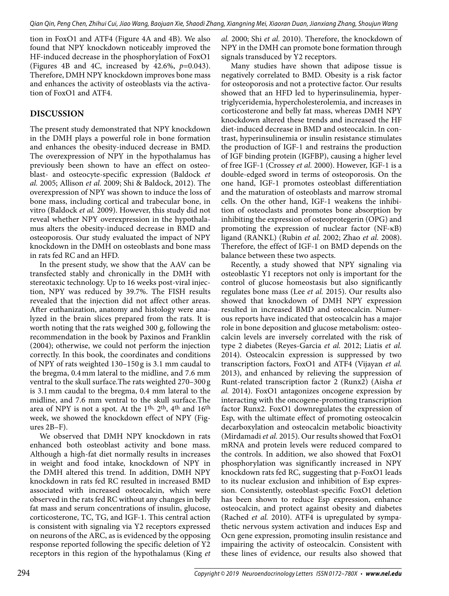tion in FoxO1 and ATF4 (Figure 4A and 4B). We also found that NPY knockdown noticeably improved the HF-induced decrease in the phosphorylation of FoxO1 (Figures 4B and 4C, increased by 42.6%, *p*=0.043). Therefore, DMH NPY knockdown improves bone mass and enhances the activity of osteoblasts via the activation of FoxO1 and ATF4.

## **DISCUSSION**

The present study demonstrated that NPY knockdown in the DMH plays a powerful role in bone formation and enhances the obesity-induced decrease in BMD. The overexpression of NPY in the hypothalamus has previously been shown to have an effect on osteoblast- and osteocyte-specific expression (Baldock *et al.* 2005; Allison *et al.* 2009; Shi & Baldock, 2012). The overexpression of NPY was shown to induce the loss of bone mass, including cortical and trabecular bone, in vitro (Baldock *et al.* 2009). However, this study did not reveal whether NPY overexpression in the hypothalamus alters the obesity-induced decrease in BMD and osteoporosis. Our study evaluated the impact of NPY knockdown in the DMH on osteoblasts and bone mass in rats fed RC and an HFD.

In the present study, we show that the AAV can be transfected stably and chronically in the DMH with stereotaxic technology. Up to 16 weeks post-viral injection, NPY was reduced by 39.7%. The FISH results revealed that the injection did not affect other areas. After euthanization, anatomy and histology were analyzed in the brain slices prepared from the rats. It is worth noting that the rats weighed 300 g, following the recommendation in the book by Paxinos and Franklin (2004); otherwise, we could not perform the injection correctly. In this book, the coordinates and conditions of NPY of rats weighted 130–150 g is 3.1 mm caudal to the bregma, 0.4 mm lateral to the midline, and 7.6 mm ventral to the skull surface.The rats weighted 270–300 g is 3.1 mm caudal to the bregma, 0.4 mm lateral to the midline, and 7.6 mm ventral to the skull surface.The area of NPY is not a spot. At the  $1<sup>th</sup>$ ,  $2<sup>th</sup>$ ,  $4<sup>th</sup>$  and  $16<sup>th</sup>$ week, we showed the knockdown effect of NPY (Figures 2B–F).

We observed that DMH NPY knockdown in rats enhanced both osteoblast activity and bone mass. Although a high-fat diet normally results in increases in weight and food intake, knockdown of NPY in the DMH altered this trend. In addition, DMH NPY knockdown in rats fed RC resulted in increased BMD associated with increased osteocalcin, which were observed in the rats fed RC without any changes in belly fat mass and serum concentrations of insulin, glucose, corticosterone, TC, TG, and IGF-1. This central action is consistent with signaling via Y2 receptors expressed on neurons of the ARC, as is evidenced by the opposing response reported following the specific deletion of Y2 receptors in this region of the hypothalamus (King *et*  *al.* 2000; Shi *et al.* 2010). Therefore, the knockdown of NPY in the DMH can promote bone formation through signals transduced by Y2 receptors.

Many studies have shown that adipose tissue is negatively correlated to BMD. Obesity is a risk factor for osteoporosis and not a protective factor. Our results showed that an HFD led to hyperinsulinemia, hypertriglyceridemia, hypercholesterolemia, and increases in corticosterone and belly fat mass, whereas DMH NPY knockdown altered these trends and increased the HF diet-induced decrease in BMD and osteocalcin. In contrast, hyperinsulinemia or insulin resistance stimulates the production of IGF-1 and restrains the production of IGF binding protein (IGFBP), causing a higher level of free IGF-1 (Crossey *et al.* 2000). However, IGF-1 is a double-edged sword in terms of osteoporosis. On the one hand, IGF-1 promotes osteoblast differentiation and the maturation of osteoblasts and marrow stromal cells. On the other hand, IGF-1 weakens the inhibition of osteoclasts and promotes bone absorption by inhibiting the expression of osteoprotegerin (OPG) and promoting the expression of nuclear factor (NF-κB) ligand (RANKL) (Rubin *et al.* 2002; Zhao *et al.* 2008). Therefore, the effect of IGF-1 on BMD depends on the balance between these two aspects.

Recently, a study showed that NPY signaling via osteoblastic Y1 receptors not only is important for the control of glucose homeostasis but also significantly regulates bone mass (Lee *et al.* 2015). Our results also showed that knockdown of DMH NPY expression resulted in increased BMD and osteocalcin. Numerous reports have indicated that osteocalcin has a major role in bone deposition and glucose metabolism: osteocalcin levels are inversely correlated with the risk of type 2 diabetes (Reyes-Garcia *et al.* 2012; Liatis *et al.*  2014). Osteocalcin expression is suppressed by two transcription factors, FoxO1 and ATF4 (Vijayan *et al.*  2013), and enhanced by relieving the suppression of Runt-related transcription factor 2 (Runx2) (Aisha *et al.* 2014). FoxO1 antagonizes oncogene expression by interacting with the oncogene-promoting transcription factor Runx2. FoxO1 downregulates the expression of Esp, with the ultimate effect of promoting osteocalcin decarboxylation and osteocalcin metabolic bioactivity (Mirdamadi *et al.* 2015). Our results showed that FoxO1 mRNA and protein levels were reduced compared to the controls. In addition, we also showed that FoxO1 phosphorylation was significantly increased in NPY knockdown rats fed RC, suggesting that p-FoxO1 leads to its nuclear exclusion and inhibition of Esp expression. Consistently, osteoblast-specific FoxO1 deletion has been shown to reduce Esp expression, enhance osteocalcin, and protect against obesity and diabetes (Rached *et al.* 2010). ATF4 is upregulated by sympathetic nervous system activation and induces Esp and Ocn gene expression, promoting insulin resistance and impairing the activity of osteocalcin. Consistent with these lines of evidence, our results also showed that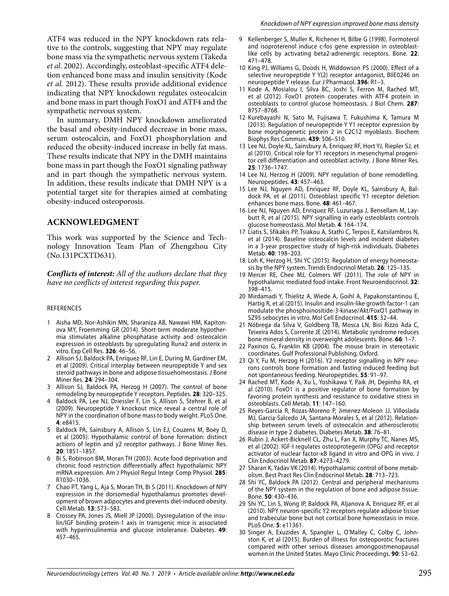ATF4 was reduced in the NPY knockdown rats relative to the controls, suggesting that NPY may regulate bone mass via the sympathetic nervous system (Takeda *et al.* 2002). Accordingly, osteoblast-specific ATF4 deletion enhanced bone mass and insulin sensitivity (Kode *et al.* 2012). These results provide additional evidence indicating that NPY knockdown regulates osteocalcin and bone mass in part though FoxO1 and ATF4 and the sympathetic nervous system.

In summary, DMH NPY knockdown ameliorated the basal and obesity-induced decrease in bone mass, serum osteocalcin, and FoxO1 phosphorylation and reduced the obesity-induced increase in belly fat mass. These results indicate that NPY in the DMH maintains bone mass in part though the FoxO1 signaling pathway and in part though the sympathetic nervous system. In addition, these results indicate that DMH NPY is a potential target site for therapies aimed at combating obesity-induced osteoporosis.

#### **ACKNOWLEDGMENT**

This work was supported by the Science and Technology Innovation Team Plan of Zhengzhou City (No.131PCXTD631).

*Conflicts of interest: All of the authors declare that they have no conflicts of interest regarding this paper.*

#### REFERENCES

- 1 Aisha MD, Nor-Ashikin MN, Sharaniza AB, Nawawi HM, Kapitonova MY, Froemming GR (2014). Short-term moderate hypothermia stimulates alkaline phosphatase activity and osteocalcin expression in osteoblasts by upregulating Runx2 and osterix in vitro. Exp Cell Res. **326**: 46–56.
- 2 Allison SJ, Baldock PA, Enriquez RF, Lin E, During M, Gardiner EM, et al (2009). Critical interplay between neuropeptide Y and sex steroid pathways in bone and adipose tissuehomeostasis. J Bone Miner Res. **24**: 294–304.
- 3 Allison SJ, Baldock PA, Herzog H (2007). The control of bone remodeling by neuropeptide Y receptors. Peptides. **28**: 320–325.
- Baldock PA, Lee NJ, Driessler F, Lin S, Allison S, Stehrer B, et al (2009). Neuropeptide Y knockout mice reveal a central role of NPY in the coordination of bone mass to body weight. PLoS One. **4**: e8415.
- 5 Baldock PA, Sainsbury A, Allison S, Lin EJ, Couzens M, Boey D, et al (2005). Hypothalamic control of bone formation: distinct actions of leptin and y2 receptor pathways. J Bone Miner Res. **20**: 1851–1857.
- 6 Bi S, Robinson BM, Moran TH (2003). Acute food deprivation and chronic food restriction differentially affect hypothalamic NPY mRNA expression. Am J Physiol Regul Integr Comp Physiol. **285**: R1030–1036.
- 7 Chao PT, Yang L, Aja S, Moran TH, Bi S (2011). Knockdown of NPY expression in the dorsomedial hypothalamus promotes development of brown adipocytes and prevents diet-induced obesity. Cell Metab. **13**: 573–583.
- 8 Crossey PA, Jones JS, Miell JP (2000). Dysregulation of the insulin/IGF binding protein-1 axis in transgenic mice is associated with hyperinsulinemia and glucose intolerance. Diabetes. **49**: 457–465.
- 9 Kellenberger S, Muller K, Richener H, Bilbe G (1998). Formoterol and isoproterenol induce c-fos gene expression in osteoblastlike cells by activating beta2-adrenergic receptors. Bone. **22**: 471–478.
- 10 King PJ, Williams G, Doods H, Widdowson PS (2000). Effect of a selective neuropeptide Y Y(2) receptor antagonist, BIIE0246 on neuropeptide Y release. Eur J Pharmacol. **396**: R1–3.
- 11 Kode A, Mosialou I, Silva BC, Joshi S, Ferron M, Rached MT, et al (2012). FoxO1 protein cooperates with ATF4 protein in osteoblasts to control glucose homeostasis. J Biol Chem. **287**: 8757–8768.
- 12 Kurebayashi N, Sato M, Fujisawa T, Fukushima K, Tamura M (2013). Regulation of neuropeptide Y Y1 receptor expression by bone morphogenetic protein 2 in C2C12 myoblasts. Biochem Biophys Res Commun. **439**: 506–510.
- 13 Lee NJ, Doyle KL, Sainsbury A, Enriquez RF, Hort YJ, Riepler SJ, et al (2010). Critical role for Y1 receptors in mesenchymal progenitor cell differentiation and osteoblast activity. J Bone Miner Res. **25**: 1736–1747.
- 14 Lee NJ, Herzog H (2009). NPY regulation of bone remodelling. Neuropeptides. **43**: 457–463.
- 15 Lee NJ, Nguyen AD, Enriquez RF, Doyle KL, Sainsbury A, Baldock PA, et al (2011). Osteoblast specific Y1 receptor deletion enhances bone mass. Bone. **48**: 461–467.
- 16 Lee NJ, Nguyen AD, Enriquez RF, Luzuriaga J, Bensellam M, Laybutt R, et al (2015). NPY signalling in early osteoblasts controls glucose homeostasis. Mol Metab. **4**: 164–174.
- 17 Liatis S, Sfikakis PP, Tsiakou A, Stathi C, Terpos E, Katsilambros N, et al (2014). Baseline osteocalcin levels and incident diabetes in a 3-year prospective study of high-risk individuals. Diabetes Metab. **40**: 198–203.
- 18 Loh K, Herzog H, Shi YC (2015). Regulation of energy homeostasis by the NPY system. Trends Endocrinol Metab. **26**: 125–135.
- 19 Mercer RE, Chee MJ, Colmers WF (2011). The role of NPY in hypothalamic mediated food intake. Front Neuroendocrinol. **32**: 398–415.
- 20 Mirdamadi Y, Thielitz A, Wiede A, Goihl A, Papakonstantinou E, Hartig R, et al (2015). Insulin and insulin-like growth factor-1 can modulate the phosphoinositide-3-kinase/Akt/FoxO1 pathway in SZ95 sebocytes in vitro. Mol Cell Endocrinol. **415**: 32–44.
- 21 Nóbrega da Silva V, Goldberg TB, Mosca LN, Bisi Rizzo Ada C, Teixeira Ados S, Corrente JE (2014). Metabolic syndrome reduces bone mineral density in overweight adolescents. Bone. **66**: 1–7.
- 22 Paxinos G, Franklin KB (2004). The mouse brain in stereotaxic coordinates. Gulf Professional Publishing, Oxford.
- 23 Qi Y, Fu M, Herzog H (2016). Y2 receptor signalling in NPY neurons controls bone formation and fasting induced feeding but not spontaneous feeding. Neuropeptides. **55**: 91–97.
- 24 Rached MT, Kode A, Xu L, Yoshikawa Y, Paik JH, Depinho RA, et al (2010). FoxO1 is a positive regulator of bone formation by favoring protein synthesis and resistance to oxidative stress in osteoblasts. Cell Metab. **11**: 147–160.
- 25 Reyes-Garcia R, Rozas-Moreno P, Jimenez-Moleon JJ, Villoslada MJ, Garcia-Salcedo JA, Santana-Morales S, et al (2012). Relationship between serum levels of osteocalcin and atherosclerotic disease in type 2 diabetes. Diabetes Metab. **38**: 76–81.
- 26 Rubin J, Ackert-Bicknell CL, Zhu L, Fan X, Murphy TC, Nanes MS, et al (2002). IGF-I regulates osteoprotegerin (OPG) and receptor activator of nuclear factor-κB ligand in vitro and OPG in vivo. J Clin Endocrinol Metab. **87**: 4273–4279.
- 27 Sharan K, Yadav VK (2014). Hypothalamic control of bone metabolism. Best Pract Res Clin Endocrinol Metab. **28**: 713–723.
- 28 Shi YC, Baldock PA (2012). Central and peripheral mechanisms of the NPY system in the regulation of bone and adipose tissue. Bone. **50**: 430–436.
- 29 Shi YC, Lin S, Wong IP, Baldock PA, Aljanova A, Enriquez RF, et al (2010). NPY neuron-specific Y2 receptors regulate adipose tissue and trabecular bone but not cortical bone homeostasis in mice. PLoS One. **5**: e11361.
- 30 Singer A, Exuzides A, Spangler L, O'Malley C, Colby C, Johnston K, et al (2015). Burden of illness for osteoporotic fractures compared with other serious diseases amongpostmenopausal women in the United States. Mayo Clinic Proceedings. **90**: 53–62.